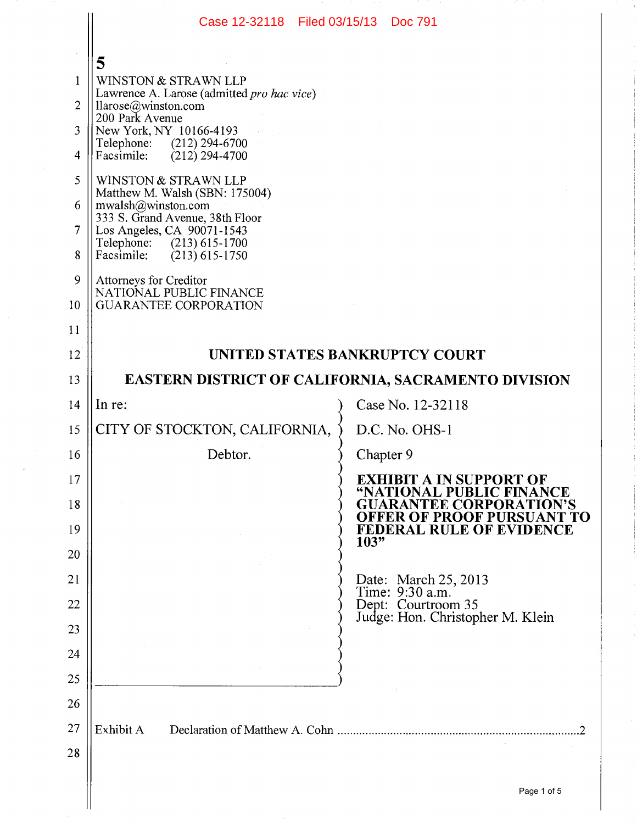|                                                                                  | Case 12-32118 Filed 03/15/13 Doc 791                                                                                                                                                                                                                                                                                                                                                                                                                                          |                                                                                                 |  |
|----------------------------------------------------------------------------------|-------------------------------------------------------------------------------------------------------------------------------------------------------------------------------------------------------------------------------------------------------------------------------------------------------------------------------------------------------------------------------------------------------------------------------------------------------------------------------|-------------------------------------------------------------------------------------------------|--|
| 1<br>$\overline{2}$<br>3<br>$\overline{4}$<br>5<br>6<br>$\overline{7}$<br>8<br>9 | 5<br>WINSTON & STRAWN LLP<br>Lawrence A. Larose (admitted pro hac vice)<br>llarose@winston.com<br>200 Park Avenue<br>New York, NY 10166-4193<br>Telephone: (212) 294-6700<br>$(212)$ 294-4700<br>Facsimile:<br>WINSTON & STRAWN LLP<br>Matthew M. Walsh (SBN: 175004)<br>mwalsh@winston.com<br>333 S. Grand Avenue, 38th Floor<br>Los Angeles, CA 90071-1543<br>Telephone: (213) 615-1700<br>Facsimile: $(213) 615-1750$<br>Attorneys for Creditor<br>NATIONAL PUBLIC FINANCE |                                                                                                 |  |
| 10<br>11                                                                         | <b>GUARANTEE CORPORATION</b>                                                                                                                                                                                                                                                                                                                                                                                                                                                  |                                                                                                 |  |
| 12                                                                               | <b>UNITED STATES BANKRUPTCY COURT</b>                                                                                                                                                                                                                                                                                                                                                                                                                                         |                                                                                                 |  |
| 13                                                                               | EASTERN DISTRICT OF CALIFORNIA, SACRAMENTO DIVISION                                                                                                                                                                                                                                                                                                                                                                                                                           |                                                                                                 |  |
| 14                                                                               | In re:                                                                                                                                                                                                                                                                                                                                                                                                                                                                        | Case No. 12-32118                                                                               |  |
| 15                                                                               | CITY OF STOCKTON, CALIFORNIA,                                                                                                                                                                                                                                                                                                                                                                                                                                                 | D.C. No. OHS-1                                                                                  |  |
| 16                                                                               | Debtor.                                                                                                                                                                                                                                                                                                                                                                                                                                                                       | Chapter 9                                                                                       |  |
| 17                                                                               |                                                                                                                                                                                                                                                                                                                                                                                                                                                                               | <b>EXHIBIT A IN SUPPORT OF</b>                                                                  |  |
| 18                                                                               |                                                                                                                                                                                                                                                                                                                                                                                                                                                                               | "NATIONAL PUBLIC FINANCE<br><b>GUARANTEE CORPORATION'S</b><br><b>OFFER OF PROOF PURSUANT TO</b> |  |
| 19                                                                               |                                                                                                                                                                                                                                                                                                                                                                                                                                                                               | FEDERAL RULE OF EVIDENCE<br>103"                                                                |  |
| 20                                                                               |                                                                                                                                                                                                                                                                                                                                                                                                                                                                               |                                                                                                 |  |
| 21                                                                               |                                                                                                                                                                                                                                                                                                                                                                                                                                                                               | Date: March 25, 2013<br>Time: 9:30 a.m.                                                         |  |
| 22                                                                               |                                                                                                                                                                                                                                                                                                                                                                                                                                                                               | Dept: Courtroom 35<br>Judge: Hon. Christopher M. Klein                                          |  |
| 23                                                                               |                                                                                                                                                                                                                                                                                                                                                                                                                                                                               |                                                                                                 |  |
| 24                                                                               |                                                                                                                                                                                                                                                                                                                                                                                                                                                                               |                                                                                                 |  |
| 25                                                                               |                                                                                                                                                                                                                                                                                                                                                                                                                                                                               |                                                                                                 |  |
| 26                                                                               |                                                                                                                                                                                                                                                                                                                                                                                                                                                                               |                                                                                                 |  |
| 27                                                                               | Exhibit A                                                                                                                                                                                                                                                                                                                                                                                                                                                                     |                                                                                                 |  |
| 28                                                                               |                                                                                                                                                                                                                                                                                                                                                                                                                                                                               |                                                                                                 |  |
|                                                                                  |                                                                                                                                                                                                                                                                                                                                                                                                                                                                               | Page 1 of 5                                                                                     |  |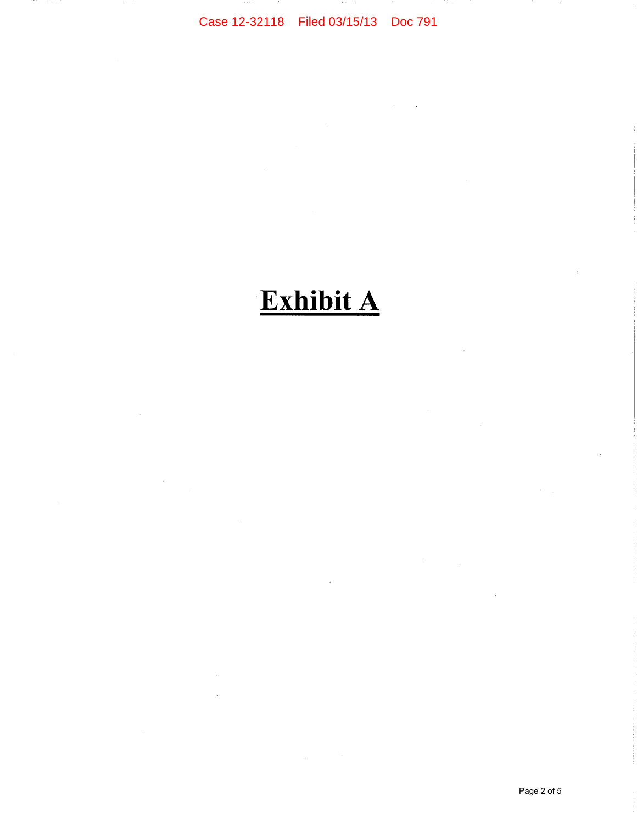Case 12-32118 Filed 03/15/13 Doc 791

## **Exhibit A**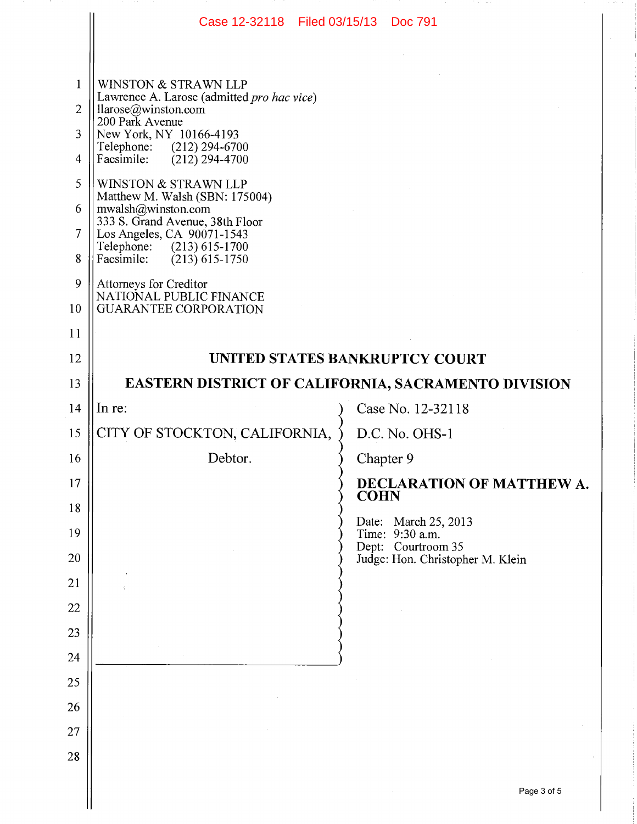|                | Case 12-32118   Filed 03/15/13                                                    |             | <b>Doc 791</b>                        |
|----------------|-----------------------------------------------------------------------------------|-------------|---------------------------------------|
|                |                                                                                   |             |                                       |
| $\mathbf{1}$   | WINSTON & STRAWN LLP                                                              |             |                                       |
| $\overline{2}$ | Lawrence A. Larose (admitted pro hac vice)<br>llarcse@winston.com                 |             |                                       |
| 3              | 200 Park Avenue<br>New York, NY 10166-4193                                        |             |                                       |
| $\overline{4}$ | Telephone: (212) 294-6700<br>$(212)$ 294-4700<br>Facsimile:                       |             |                                       |
| 5              | WINSTON & STRAWN LLP                                                              |             |                                       |
| 6              | Matthew M. Walsh (SBN: 175004)<br>mwalsh@winston.com                              |             |                                       |
| $\overline{7}$ | 333 S. Grand Avenue, 38th Floor<br>Los Angeles, CA 90071-1543                     |             |                                       |
| 8              | Telephone: (213) 615-1700<br>Facsimile:<br>$(213)$ 615-1750                       |             |                                       |
| 9              | Attorneys for Creditor<br>NATIONAL PUBLIC FINANCE<br><b>GUARANTEE CORPORATION</b> |             |                                       |
| 10             |                                                                                   |             |                                       |
| 11             |                                                                                   |             |                                       |
| 12             | UNITED STATES BANKRUPTCY COURT                                                    |             |                                       |
| 13             | <b>EASTERN DISTRICT OF CALIFORNIA, SACRAMENTO DIVISION</b>                        |             |                                       |
| 14             | In re:                                                                            |             | Case No. 12-32118                     |
| 15             | CITY OF STOCKTON, CALIFORNIA,                                                     |             | D.C. No. OHS-1                        |
| 16             | Debtor.                                                                           | Chapter 9   |                                       |
| 17             |                                                                                   | <b>COHN</b> | DECLARATION OF MATTHEW A.             |
| 18             |                                                                                   |             | Date: March 25, 2013                  |
| 19             |                                                                                   |             | Time: 9:30 a.m.<br>Dept: Courtroom 35 |
| 20             |                                                                                   |             | Judge: Hon. Christopher M. Klein      |
| 21             |                                                                                   |             |                                       |
| 22             |                                                                                   |             |                                       |
| 23             |                                                                                   |             |                                       |
| 24<br>25       |                                                                                   |             |                                       |
| 26             |                                                                                   |             |                                       |
| 27             |                                                                                   |             |                                       |
| 28             |                                                                                   |             |                                       |
|                |                                                                                   |             |                                       |
|                |                                                                                   |             | Page 3 of 5                           |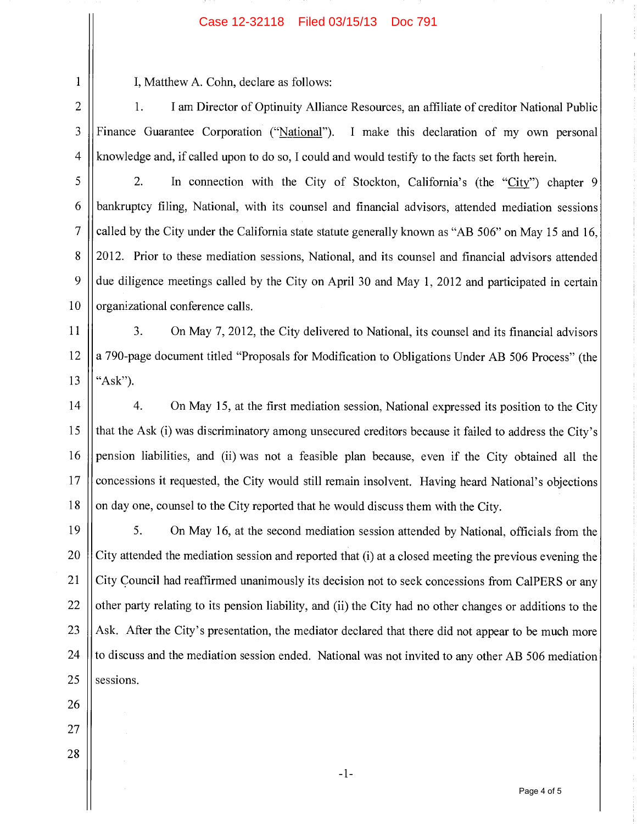## Case 12-32118 Filed 03/15/13 Doc 791

I, Matthew A. Cohn, declare as follows:

1. I am Director of Optinuity Alliance Resources, an affiliate of creditor National Public Finance Guarantee Corporation ("National"). I make this declaration of my own personal knowledge and, if called upon to do so, I could and would testify to the facts set forth herein. 2 3 4

2. In connection with the City of Stockton, California's (the "City") chapter 9 bankruptcy filing, National, with its counsel and financial advisors, attended mediation sessions called by the City under the California state statute generally known as "AB 506" on May 15 and 16, 2012. Prior to these mediation sessions, National, and its counsel and financial advisors attended due diligence meetings called by the City on April 30 and May 1, 2012 and participated in certain organizational conference calls. 5 6 7 8 9 10

3. On May 7, 2012, the City delivered to National, its counsel and its financial advisors a 790-page document titled "Proposals for Modification to Obligations Under AB 506 Process" (the "Ask"). 11 12 13

4. On May 15, at the first mediation session, National expressed its position to the City that the Ask (i) was discriminatory among unsecured creditors because it failed to address the City's pension liabilities, and (ii) was not a feasible plan because, even if the City obtained all the concessions it requested, the City would still remain insolvent. Having heard National's objections on day one, counsel to the City reported that he would discuss them with the City. 14 15 16 17 18

5. On May 16, at the second mediation session attended by National, officials from the City attended the mediation session and reported that (i) at a closed meeting the previous evening the City Council had reaffirmed unanimously its decision not to seek concessions from CalPERS or any other party relating to its pension liability, and (ii) the City had no other changes or additions to the Ask. After the City's presentation, the mediator declared that there did not appear to be much more to discuss and the mediation session ended. National was not invited to any other AB 506 mediation sessions. 19 20 21 22 23 24 25

26

1

27 28

 $-1-$